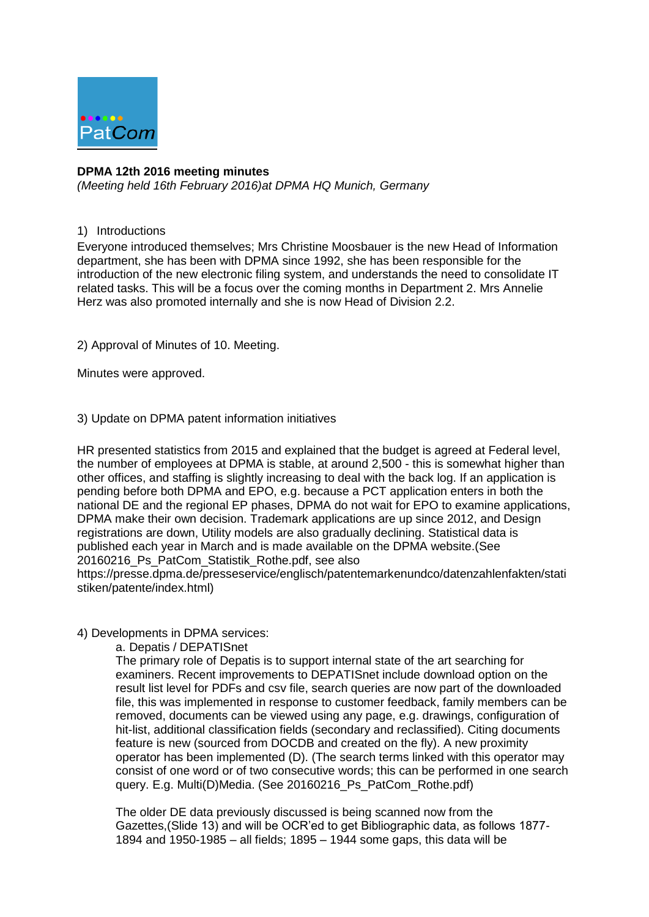

# **DPMA 12th 2016 meeting minutes**

*(Meeting held 16th February 2016)at DPMA HQ Munich, Germany* 

# 1) Introductions

Everyone introduced themselves; Mrs Christine Moosbauer is the new Head of Information department, she has been with DPMA since 1992, she has been responsible for the introduction of the new electronic filing system, and understands the need to consolidate IT related tasks. This will be a focus over the coming months in Department 2. Mrs Annelie Herz was also promoted internally and she is now Head of Division 2.2.

2) Approval of Minutes of 10. Meeting.

Minutes were approved.

# 3) Update on DPMA patent information initiatives

HR presented statistics from 2015 and explained that the budget is agreed at Federal level, the number of employees at DPMA is stable, at around 2,500 - this is somewhat higher than other offices, and staffing is slightly increasing to deal with the back log. If an application is pending before both DPMA and EPO, e.g. because a PCT application enters in both the national DE and the regional EP phases, DPMA do not wait for EPO to examine applications, DPMA make their own decision. Trademark applications are up since 2012, and Design registrations are down, Utility models are also gradually declining. Statistical data is published each year in March and is made available on the DPMA website.(See 20160216\_Ps\_PatCom\_Statistik\_Rothe.pdf, see also

https://presse.dpma.de/presseservice/englisch/patentemarkenundco/datenzahlenfakten/stati stiken/patente/index.html)

## 4) Developments in DPMA services:

a. Depatis / DEPATISnet

The primary role of Depatis is to support internal state of the art searching for examiners. Recent improvements to DEPATISnet include download option on the result list level for PDFs and csv file, search queries are now part of the downloaded file, this was implemented in response to customer feedback, family members can be removed, documents can be viewed using any page, e.g. drawings, configuration of hit-list, additional classification fields (secondary and reclassified). Citing documents feature is new (sourced from DOCDB and created on the fly). A new proximity operator has been implemented (D). (The search terms linked with this operator may consist of one word or of two consecutive words; this can be performed in one search query. E.g. Multi(D)Media. (See 20160216 Ps PatCom Rothe.pdf)

The older DE data previously discussed is being scanned now from the Gazettes,(Slide 13) and will be OCR'ed to get Bibliographic data, as follows 1877- 1894 and 1950-1985 – all fields; 1895 – 1944 some gaps, this data will be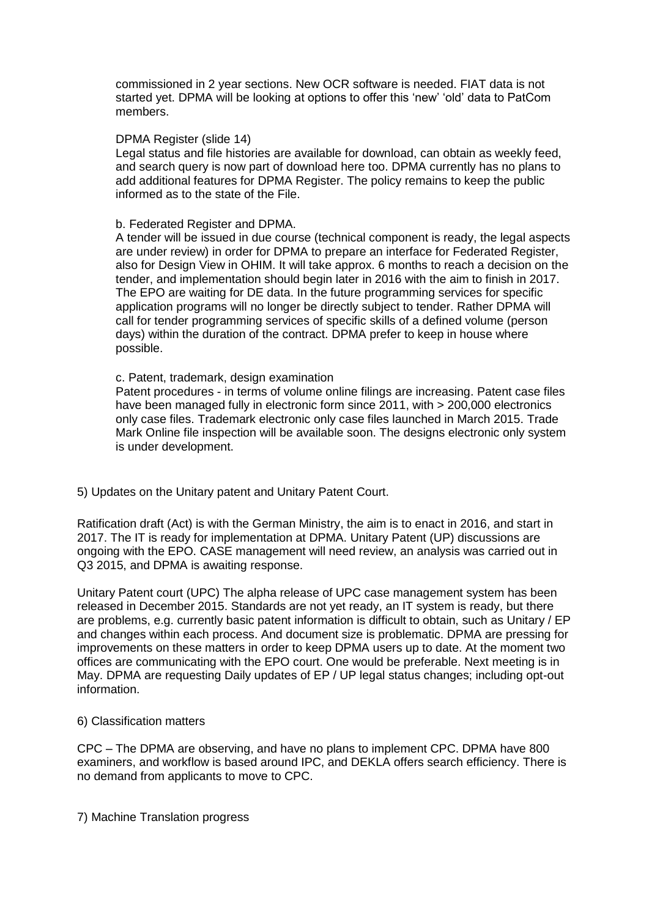commissioned in 2 year sections. New OCR software is needed. FIAT data is not started yet. DPMA will be looking at options to offer this 'new' 'old' data to PatCom members.

### DPMA Register (slide 14)

Legal status and file histories are available for download, can obtain as weekly feed, and search query is now part of download here too. DPMA currently has no plans to add additional features for DPMA Register. The policy remains to keep the public informed as to the state of the File.

### b. Federated Register and DPMA.

A tender will be issued in due course (technical component is ready, the legal aspects are under review) in order for DPMA to prepare an interface for Federated Register, also for Design View in OHIM. It will take approx. 6 months to reach a decision on the tender, and implementation should begin later in 2016 with the aim to finish in 2017. The EPO are waiting for DE data. In the future programming services for specific application programs will no longer be directly subject to tender. Rather DPMA will call for tender programming services of specific skills of a defined volume (person days) within the duration of the contract. DPMA prefer to keep in house where possible.

#### c. Patent, trademark, design examination

Patent procedures - in terms of volume online filings are increasing. Patent case files have been managed fully in electronic form since 2011, with > 200,000 electronics only case files. Trademark electronic only case files launched in March 2015. Trade Mark Online file inspection will be available soon. The designs electronic only system is under development.

### 5) Updates on the Unitary patent and Unitary Patent Court.

Ratification draft (Act) is with the German Ministry, the aim is to enact in 2016, and start in 2017. The IT is ready for implementation at DPMA. Unitary Patent (UP) discussions are ongoing with the EPO. CASE management will need review, an analysis was carried out in Q3 2015, and DPMA is awaiting response.

Unitary Patent court (UPC) The alpha release of UPC case management system has been released in December 2015. Standards are not yet ready, an IT system is ready, but there are problems, e.g. currently basic patent information is difficult to obtain, such as Unitary / EP and changes within each process. And document size is problematic. DPMA are pressing for improvements on these matters in order to keep DPMA users up to date. At the moment two offices are communicating with the EPO court. One would be preferable. Next meeting is in May. DPMA are requesting Daily updates of EP / UP legal status changes; including opt-out information.

### 6) Classification matters

CPC – The DPMA are observing, and have no plans to implement CPC. DPMA have 800 examiners, and workflow is based around IPC, and DEKLA offers search efficiency. There is no demand from applicants to move to CPC.

7) Machine Translation progress